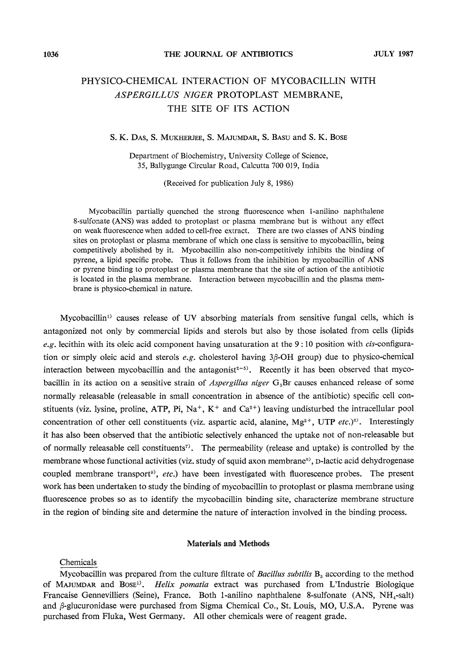## PHYSICO-CHEMICAL INTERACTION OF MYCOBACILLIN WITH ASPERGILLUS NIGER PROTOPLAST MEMBRANE, THE SITE OF ITS ACTION

## S. K. Das, S. Mukherjee, S. Majumdar, S. Basu and S. K. Bose

Department of Biochemistry, University College of Science, 35, Ballygunge Circular Road, Calcutta 700 019, India 35, Ballygunge Circular Road, Calcutta 700 01 9, India

 $\left($  -complete for publication  $\mathcal{L}$   $\mathcal{L}$   $\mathcal{L}$ 

Mycobacillin partially quenched the strong fluorescence when 1-anilino naphthalene 8-sulfonate (ANS) was added to protoplast or plasma membrane but is without any effect on weak fluorescence when added to cell-free extract. There are two classes of ANS binding sites on protoplast or plasma membrane of which one class is sensitive to mycobacillin, being competitively abolished by it. Mycobacillin also non-competitively inhibits the binding of pyrene, a lipid specific probe. Thus it follows from the inhibition by mycobacillin of ANS or pyrene binding to protoplast or plasma membrane that the site of action of the antibiotic is located in the plasma membrane. Interaction between mycobacillin and the plasma membrane is physico-chemical in nature.

Mycobacillin<sup>1)</sup> causes release of UV absorbing materials from sensitive fungal cells, which is antagonized not only by commercial lipids and sterols but also by those isolated from cells (lipids e.g. lecithin with its oleic acid component having unsaturation at the  $9:10$  position with *cis*-configuration or simply oleic acid and sterols  $e, g$ , cholesterol having  $3\beta$ -OH group) due to physico-chemical interaction between mycobacillin and the antagonist<sup>2-5)</sup>. Recently it has been observed that mycobacillin in its action on a sensitive strain of *Aspergillus niger*  $G_s$ Br causes enhanced release of some bacillin in its action on a sensitive strain of Aspergillus niger G3Brcauses enhanced release of some normally releasable (releasable in small concentration in absence of the antibiotic) specific cell conconcentration of other cell constituents (viz. aspartic acid, alanine,  $Mg^{2+}$ , UTP etc.)<sup>8)</sup>. Interestingly it has also been observed that the antibiotic selectively enhanced the uptake not of non-releasable but of normally releasable cell constituents<sup>7</sup>. The permeability (release and uptake) is controlled by the membrane whose functional activities (viz. study of squid axon membrane<sup>8)</sup>, p-lactic acid dehydrogenase coupled membrane transport<sup>9</sup>, etc.) have been investigated with fluorescence probes. The present work has been undertaken to study the binding of mycobacillin to protoplast or plasma membrane using fluorescence probes so as to identify the mycobacillin binding site, characterize membrane structure fluorescence probes so as to identify the mycobacillin binding site, characterize membranestructure  $\ddot{\phantom{a}}$  the region of interaction involved interaction involved in the binding process.

## Materials and Methods

Chemicals

Mycobacillin was prepared from the culture filtrate of *Bacillus subtilis*  $B_3$  according to the method of MAJUMDAR and BOSE<sup>1)</sup>. Helix pomatia extract was purchased from L'Industrie Biologique Francaise Gennevilliers (Seine), France. Both 1-anilino naphthalene 8-sulfonate (ANS,  $NH_{4}$ -salt) and  $\beta$ -glucuronidase were purchased from Sigma Chemical Co., St. Louis, MO, U.S.A. Pyrene was  $\alpha$ urchased from Eluka. West Germany All other chemicals were of reagant grade purchased from Fluka, West Germany. All other chemicals were of reagent grade.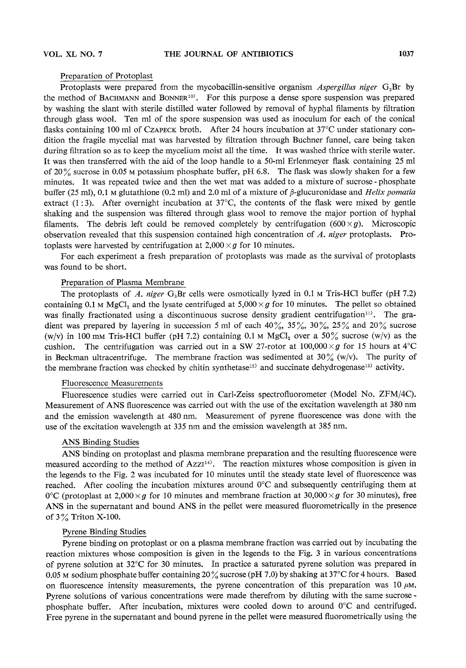Preparation of Protoplast<br>Protoplasts were prepared from the mycobacillin-sensitive organism *Aspergillus niger* G<sub>s</sub>Br by the method of BACHMANN and BONNER<sup>10)</sup>. For this purpose a dense spore suspension was prepared by washing the slant with sterile distilled water followed by removal of hyphal filaments by filtration through glass wool. Ten ml of the spore suspension was used as inoculum for each of the conical flasks containing 100 ml of CzAPECK broth. After 24 hours incubation at  $37^{\circ}$ C under stationary condition the fragile mycelial mat was harvested by filtration through Buchner funnel, care being taken during filtration so as to keep the mycelium moist all the time. It was washed thrice with sterile water. It was then transferred with the aid of the loop handle to a 50-ml Erlenmever flask containing  $25$  ml of 20% sucrose in 0.05  $\mu$  potassium phosphate buffer, pH 6.8. The flask was slowly shaken for a few minutes. It was repeated twice and then the wet mat was added to a mixture of sucrose-phosphate buffer (25 ml), 0.1 M glutathione (0.2 ml) and 2.0 ml of a mixture of  $\beta$ -glucuronidase and *Helix pomatia* extract (1:3). After overnight incubation at  $37^{\circ}$ C, the contents of the flask were mixed by gentle shaking and the suspension was filtered through glass wool to remove the major portion of hyphal filaments. The debris left could be removed completely by centrifugation  $(600 \times g)$ . Microscopic observation revealed that this suspension contained high concentration of  $\tilde{A}$ , niger protoplasts. Protoplasts were harvested by centrifugation at  $2,000 \times g$  for 10 minutes.

For each experiment a fresh preparation of protoplasts was made as the survival of protoplasts. was found to be short.

Preparation of Plasma Membrane<br>The protoplasts of A. niger  $G_8Br$  cells were osmotically lyzed in 0.1 m Tris-HCl buffer (pH 7.2) containing 0.1 M MgCl, and the lysate centrifuged at  $5,000 \times g$  for 10 minutes. The pellet so obtained **Examining 0.1 m MgCl<sub>2</sub> and the lystate centrifuged at 5,000 years** for 10 minutes. The person of the person of the person of the person of the person of the gradient was prepared by layering in succession 5 ml of each 40%, 35%, 30%, 25% and 20% sucrose  $(w/v)$  in 100 mm Tris-HCl buffer (pH 7.2) containing 0.1 m MgCl<sub>2</sub> over a 50% sucrose  $(w/v)$  as the cushion. The centrifugation was carried out in a SW 27-rotor at 100,000  $\times g$  for 15 hours at 4<sup>o</sup>C in Beckman ultracentrifuge. The membrane fraction was sedimented at 30% (w/v). The purity of  $\mu$  beckmannic membrane fraction was shecked by chitin syntheteset<sup>2</sup>) and succinate debydromage<sup>13</sup>) activity  $t_{\rm eff}$  membranefraction was checked by chiring synthetase13) and succinate definition  $\sigma$ 

Fluorescence Measurements<br>Fluorescence studies were carried out in Carl-Zeiss spectrofluorometer (Model No. ZFM/4C). Measurement of ANS fluorescence was carried out with the use of the excitation wavelength at 380 nm and the emission wavelength at 480 nm. Measurement of pyrene fluorescence was done with the use of the excitation wavelength at 335 nm and the emission wavelength at 385 nm.  $U$  the excitation wavelength at  $335$  nm mand the emission wavelength at 385 nm mand the emission wavelength at 385 nm.

ANS Binding Studies<br>ANS binding on protoplast and plasma membrane preparation and the resulting fluorescence were measured according to the method of  $Azz1^{14}$ . The reaction mixtures whose composition is given in the legends to the Fig. 2 was incubated for 10 minutes until the steady state level of fluorescence was reached. After cooling the incubation mixtures around  $0^{\circ}$ C and subsequently centrifuging them at  $0^{\circ}$ C (protoplast at 2,000  $\times q$  for 10 minutes and membrane fraction at 30,000  $\times q$  for 30 minutes), free  $\overline{O}$  (protoplast at 2,000 xg for 10 minutes),  $\overline{O}$  and  $\overline{O}$  is the policy wave measured five remaining ly in the presence  $\sim$   $\frac{1}{2}$  the supernature measured fluorometrically in the periodic supernature measured fluorometrically in the periodic supernature of  $\frac{1}{2}$  and  $\frac{1}{2}$  and  $\frac{1}{2}$  and  $\frac{1}{2}$  and  $\frac{1}{2}$  and  $\frac{1}{2}$ of 3% Triton X-100.

Pyrene Binding Studies<br>Pyrene binding on protoplast or on a plasma membrane fraction was carried out by incubating the reaction mixtures whose composition is given in the legends to the Fig. 3 in various concentrations of pyrene solution at  $32^{\circ}$ C for 30 minutes. In practice a saturated pyrene solution was prepared in 0.05 M sodium phosphate buffer containing 20% sucrose (pH 7.0) by shaking at 37 $\degree$ C for 4 hours. Based on fluorescence intensity measurements, the pyrene concentration of this preparation was  $10 \mu$ M. Pyrene solutions of various concentrations were made therefrom by diluting with the same sucrosephosphate buffer. After incubation, mixtures were cooled down to around  $0^\circ$ C and centrifuged. Free pyrene in the supernatant and bound pyrene in the pellet were measured fluorometrically using the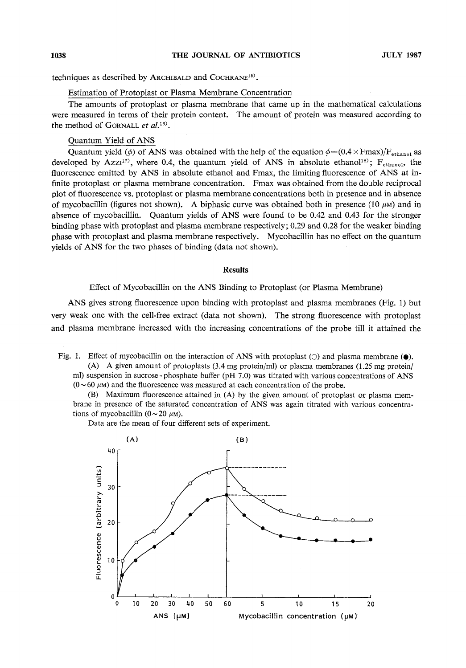techniques as described by Archibald and Cochrane15).

Estimation of Protoplast or Plasma Membrane Concentration<br>The amounts of protoplast or plasma membrane that came up in the mathematical calculations were measured in terms of their protein content. The amount of protein was measured according to the method of  $GCDNMI$  of  $d18$ the method of Gornald et al.

Quantum Yield of ANS<br>Quantum yield ( $\phi$ ) of ANS was obtained with the help of the equation  $\phi = (0.4 \times \text{Fmax})/F_{\text{athend}}$  as developed by Azz $I^{(17)}$ , where 0.4, the quantum yield of ANS in absolute ethanol<sup>18)</sup>;  $F_{\text{ethanol}}$ , the fluorescence emitted by ANS in absolute ethanol and Fmax, the limiting fluorescence of ANS at infinite protoplast or plasma membrane concentration. Fmax was obtained from the double reciprocal plot of fluorescence vs. protoplast or plasma membrane concentrations both in presence and in absence of mycobacillin (figures not shown). A biphasic curve was obtained both in presence (10  $\mu$ M) and in absence of mycobacillin. Quantum yields of ANS were found to be 0.42 and 0.43 for the stronger binding phase with protoplast and plasma membrane respectively;  $0.29$  and  $0.28$  for the weaker binding phase with protoplast and plasma membrane respectively. Mycobacillin has no effect on the quantum yields of ANS for the two phases of binding (data not shown).  $\mathcal{L}$  of  $\mathcal{L}$  two phases of binding (data not shown).

# Results

 $\mathcal{L}$  Mysolic of Mycobacillin on the ANSBinding to Plasma Membrane)

ANS gives strong fluorescence upon binding with protoplast and plasma membranes (Fig. 1) but very weak one with the cell-free extract (data not shown). The strong fluorescence with protoplast very weak one with the cell-free extract (data not shown). The strong fluorescence with protoplast and  $\mathbf{r}$  is attained the increasing concentrations of the probe time tilt it attained the

Fig. 1. Effect of mycobacillin on the interaction of ANS with protoplast ( $\circ$ ) and plasma membrane ( $\bullet$ ).<br>(A) A given amount of protoplasts (3.4 mg protein/ml) or plasma membranes (1.25 mg protein/

ml) suspension in sucrose - phosphate buffer (pH  $7.0$ ) was titrated with various concentrations of ANS  $(0 \sim 60 \mu M)$  and the fluorescence was measured at each concentration of the probe.

(B) Maximum fluorescence attained in  $(A)$  by the given amount of protoplast or plasma membrane in presence of the saturated concentration of ANS was again titrated with various concentrations of mycobacillin  $(0 \sim 20 \mu M)$ .

Data are the mean of four different sets of experiment.

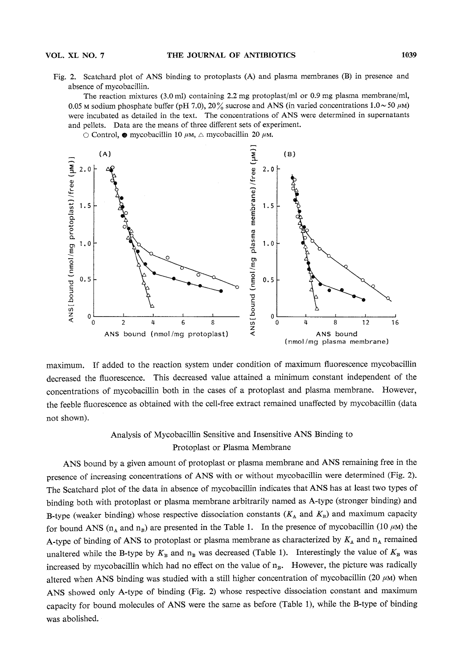Fig. 2. Scatchard plot of ANS binding to protoplasts (A) and plasma membranes (B) in presence and absence of mycobacillin.

The reaction mixtures  $(3.0 \text{ ml})$  containing  $2.2 \text{ mg}$  protoplast/ml or 0.9 mg plasma membrane/ml, 0.05 M sodium phosphate buffer (pH 7.0), 20% sucrose and ANS (in varied concentrations  $1.0 \sim 50 \mu M$ ) were incubated as detailed in the text. The concentrations of ANS were determined in supernatants and pellets. Data are the means of three different sets of experiment.

 $\sim$  Control  $\bullet$  mycobacillin 10 gM  $\land$  mycobacillin 20 gM



maximum. If added to the reaction system under condition of maximum fluorescence mycobacillin<br>decreased the fluorescence. This decreased value attained a minimum constant independent of the concentrations of mycobacillin both in the cases of a protoplast and plasma membrane. However, concentrations of my cobacilin both in the case of a protoplast  $\mu$  $t$  for feedbeforescence as obtained with the cell-free extract remained unaffected by my cobacillin (data  $\alpha$ not shown).

# Analysis of Mycobacillin Sensitive and Insensitive ANSBinding to Protoplast or Plasma Membrane

ANS bound by a given amount of protoplast or plasma membrane and ANS remaining free in the presence of increasing concentrations of ANS with or without mycobacillin were determined (Fig. 2). The Scatchard plot of the data in absence of mycobacillin indicates that ANS has at least two types of binding both with protoplast or plasma membrane arbitrarily named as A-type (stronger binding) and B-type (weaker binding) whose respective dissociation constants  $(K_A \text{ and } K_B)$  and maximum capacity for bound ANS ( $n_A$  and  $n_B$ ) are presented in the Table 1. In the presence of mycobacillin (10  $\mu$ M) the A-type of binding of ANS to protoplast or plasma membrane as characterized by  $K_A$  and  $n_A$  remained unaltered while the B-type by  $K_B$  and  $n_B$  was decreased (Table 1). Interestingly the value of  $K_B$  was increased by mycobacillin which had no effect on the value of  $n_B$ . However, the picture was radically altered when ANS binding was studied with a still higher concentration of mycobacillin (20  $\mu$ M) when ANS showed only A-type of binding (Fig. 2) whose respective dissociation constant and maximum ANS showed only  $\Lambda$ -type of binanciation constant and maximum maximum maximum maximum maximum maximum maximum  $c^2$  aparty for bound molecules of  $\mathcal{L}$ was abolished.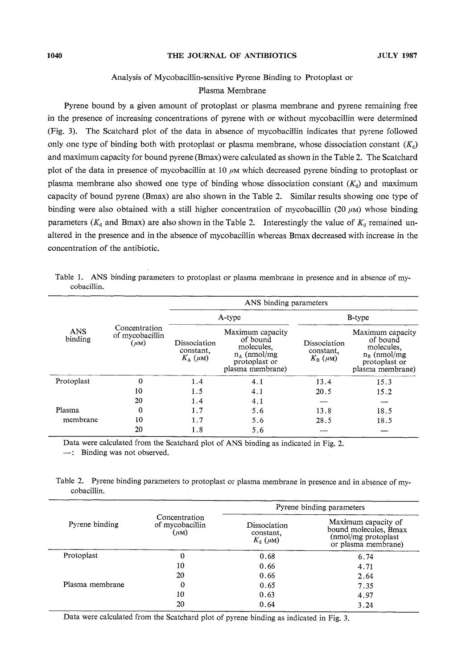# $\mathbb{R}^n \to \mathbb{R}^n$

Plasma Membrane<br>Pyrene bound by a given amount of protoplast or plasma membrane and pyrene remaining free in the presence of increasing concentrations of pyrene with or without mycobacillin were determined (Fig. 3). The Scatchard plot of the data in absence of mycobacillin indicates that pyrene followed only one type of binding both with protoplast or plasma membrane, whose dissociation constant  $(K_d)$ and maximum capacity for bound pyrene (Bmax) were calculated as shown in the Table 2. The Scatchard plot of the data in presence of mycobacillin at 10  $\mu$ M which decreased pyrene binding to protoplast or plasma membrane also showed one type of binding whose dissociation constant  $(K_0)$  and maximum capacity of bound pyrene (Bmax) are also shown in the Table 2. Similar results showing one type of binding were also obtained with a still higher concentration of mycobacillin (20  $\mu$ M) whose binding parameters ( $K_d$  and Bmax) are also shown in the Table 2. Interestingly the value of  $K_d$  remained unaltered in the presence and in the absence of mycobacillin whereas Bmax decreased with increase in the concentration of the antibiotic.

|             |  | Table 1. ANS binding parameters to protoplast or plasma membrane in presence and in absence of my- |  |  |  |  |  |  |
|-------------|--|----------------------------------------------------------------------------------------------------|--|--|--|--|--|--|
| cobacillin. |  |                                                                                                    |  |  |  |  |  |  |

|                       |                                               |                                                     |                                                                                                             | ANS binding parameters                              |                                                                                                    |  |  |
|-----------------------|-----------------------------------------------|-----------------------------------------------------|-------------------------------------------------------------------------------------------------------------|-----------------------------------------------------|----------------------------------------------------------------------------------------------------|--|--|
|                       |                                               |                                                     | A-type                                                                                                      |                                                     | <b>B</b> -type                                                                                     |  |  |
| <b>ANS</b><br>binding | Concentration<br>of mycobacillin<br>$(\mu M)$ | Dissociation<br>constant,<br>$K_{\rm A}$ ( $\mu$ M) | Maximum capacity<br>of bound<br>molecules.<br>$n_{\text{A}}$ (nmol/mg)<br>protoplast or<br>plasma membrane) | Dissociation<br>constant.<br>$K_{\rm B}$ ( $\mu$ M) | Maximum capacity<br>of bound<br>molecules.<br>$n_B$ (nmol/mg)<br>protoplast or<br>plasma membrane) |  |  |
| Protoplast            | $\bf{0}$                                      | 1.4                                                 | 4.1                                                                                                         | 13.4                                                | 15.3                                                                                               |  |  |
|                       | 10                                            | 1.5                                                 | 4.1                                                                                                         | 20.5                                                | 15.2                                                                                               |  |  |
|                       | 20                                            | 1.4                                                 | 4.1                                                                                                         |                                                     |                                                                                                    |  |  |
| Plasma                | 0                                             | 1.7                                                 | 5.6                                                                                                         | 13.8                                                | 18.5                                                                                               |  |  |
| membrane              | 10                                            | 1.7                                                 | 5.6                                                                                                         | 28.5                                                | 18.5                                                                                               |  |  |
|                       | 20                                            | 1.8                                                 | 5.6                                                                                                         |                                                     |                                                                                                    |  |  |

 $\sum_{i=1}^{n}$  Diading were not observed.

-: Binding was not observed.

Table 2. Pyrene binding parameters to protoplast or plasma membrane in presence and in absence of mycobacillin.

|                 |                                               | Pyrene binding parameters                           |                                                                                                     |  |  |  |
|-----------------|-----------------------------------------------|-----------------------------------------------------|-----------------------------------------------------------------------------------------------------|--|--|--|
| Pyrene binding  | Concentration<br>of mycobacillin<br>$(\mu M)$ | Dissociation<br>constant.<br>$K_{\rm d}$ ( $\mu$ M) | Maximum capacity of<br>bound molecules, Bmax<br>(nmol/mg protoplast)<br>or plasma membrane)<br>6.74 |  |  |  |
| Protoplast      | 0                                             | 0.68                                                |                                                                                                     |  |  |  |
|                 | 10                                            | 0.66                                                | 4.71                                                                                                |  |  |  |
|                 | 20                                            | 0.66                                                | 2.64                                                                                                |  |  |  |
| Plasma membrane | 0                                             | 0.65                                                | 7.35                                                                                                |  |  |  |
|                 | 10                                            | 0.63                                                | 4.97                                                                                                |  |  |  |
|                 | 20                                            | 0.64                                                | 3.24                                                                                                |  |  |  |

Data were calculated from the Scatchard plot of pyrene binding as indicated in Fig. 3.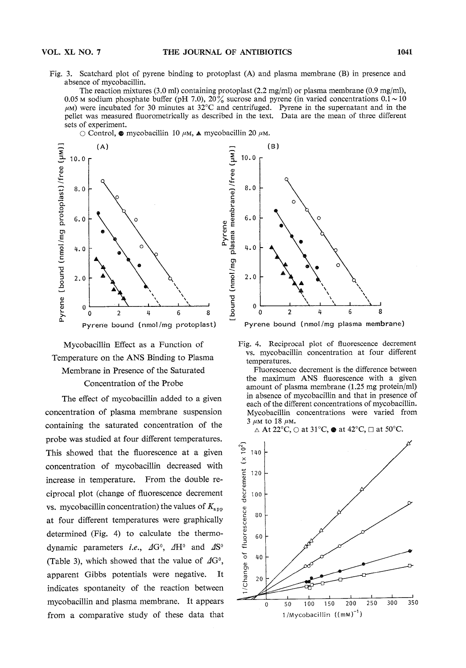Fig. 3. Scatchard plot of pyrene binding to protoplast (A) and plasma membrane (B) in presence and absence of mycobacillin.<br>The reaction mixtures (3.0 ml) containing protoplast (2.2 mg/ml) or plasma membrane (0.9 mg/ml).

0.05 m sodium phosphate buffer (pH 7.0),  $20\%$  sucrose and pyrene (in varied concentrations  $0.1 \sim 10$  $\mu$ <sub>0</sub>) were incubated for 30 minutes at 32 $\degree$ C and centrifused. Pyrene in the supernatant and in the  $\mu$  hellet was measured fluorometrically as described in the text. Data are the mean of three different person measured fluorometrical lines. The measured in the text of the measured in the mean of the mean of the mean of the mean of the mean of the mean of the mean of the mean of the mean of the mean of the mean of the mean

 $\circ$ control.  $\bullet$  is





The effect of mycobacillin added to a given concentration of plasma membrane suspension concentration of plasma membranesuspension containing the saturated concentration of the probe was studied at four different temperatures. probe was studied at four different temperatures. This showed that the fluorescence at a given concentration of mycobacillin decreased with increase in temperature. From the double re-<br>ciprocal plot (change of fluorescence decrement ciprocal plot (change of fluorescence decrement)  $c$ vs. my concentration concentration  $\sim$ at four different temperatures were graphically determined (Fig. 4) to calculate the thermodynamic parameters *i.e.*,  $\Delta G^0$ ,  $\Delta H^0$  and  $\Delta S^0$ (Table 3), which showed that the value of  $\Delta G^0$ , apparent Gibbs potentials were negative. It indicates spontaneity of the reaction between mycobacillin and plasma membrane. It appears from a comparative study of these data that



Pyrene bound (nmol/mg plasma membrane)



the maximum ANS fluorescence with a given amount of plasma membrane  $(1.25 \text{ mg protein/ml})$ in absence of mycobacillin and that in presence of each of the different concentrations of mycobacillin. Mycobacillin concentrations were varied from

3  $\mu$ M to 18  $\mu$ M.<br>  $\triangle$  At 22°C,  $\bigcirc$  at 31°C,  $\bullet$  at 42°C,  $\Box$  at 50°C.

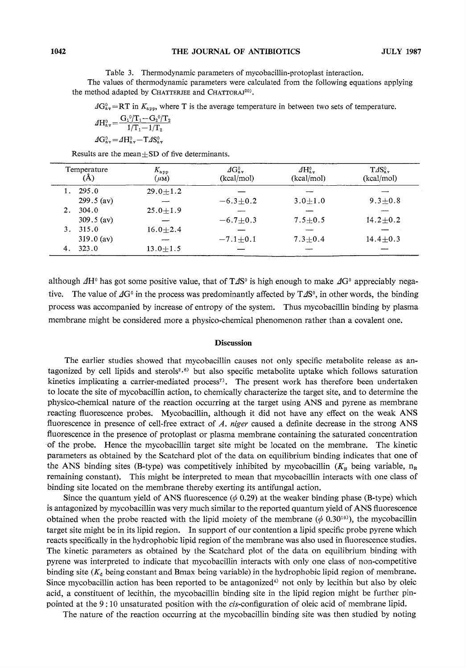Table 3. Thermodynamic parameters of mycobacillin-protoplast interaction. the method adapted by CHATTERJEE and CHATTORAJ<sup>20)</sup>. the method adapted by Chatterjee and Chattoraj20).

 $\Delta G_{\text{av}}^0$ =RT in  $K_{\text{app}}$ , where T is the average temperature in between two sets of temperature.

$$
\varDelta H_{\text{av}}^0 = \frac{G_1^0 / T_1 - G_2^0 / T_2}{1 / T_1 - 1 / T_2}
$$

$$
\Delta G^{\sigma}_{\rm av}\!=\! \varDelta H^{\sigma}_{\rm av}\!-\!1\varDelta S^{\sigma}_{\rm av}
$$

| Temperature<br>(Å) |              | $K_{\rm app}$<br>$(\mu_M)$ | $AG_{3\pi}^0$<br>(kcal/mol) | $\Delta H_{\rm{av}}^0$<br>(kcal/mol) | $T\Delta S^0_{a\pi}$<br>(kcal/mol) |  |
|--------------------|--------------|----------------------------|-----------------------------|--------------------------------------|------------------------------------|--|
|                    | 295.0        | $29.0 + 1.2$               |                             |                                      |                                    |  |
|                    | $299.5$ (av) |                            | $-6.3 + 0.2$                | $3.0 + 1.0$                          | $9.3 + 0.8$                        |  |
| 2.                 | 304.0        | $25.0 + 1.9$               |                             |                                      |                                    |  |
|                    | $309.5$ (av) |                            | $-6.7 + 0.3$                | $7.5 + 0.5$                          | $14.2 + 0.2$                       |  |
| 3.                 | 315.0        | $16.0 + 2.4$               |                             |                                      |                                    |  |
|                    | $319.0$ (av) |                            | $-7.1 + 0.1$                | $7.3 + 0.4$                          | $14.4 + 0.3$                       |  |
| 4.                 | 323.0        | $13.0 + 1.5$               |                             |                                      |                                    |  |

although  $\Delta H^0$  has got some positive value, that of  $T\Delta S^0$  is high enough to make  $\Delta G^0$  appreciably negative. The value of  $\Delta G^0$  in the process was predominantly affected by  $T\Delta S^0$ , in other words, the binding process was accompanied by increase of entropy of the system. Thus mycobacillin binding by plasma membrane might be considered more a physico-chemical phenomenon rather than a covalent one. membranemight be considered more a physico-chemical phenomenonrather than a covalent one.

# $\sim$

The earlier studies showed that mycobacillin causes not only specific metabolite release as an-<br>tagonized by cell lipids and sterols<sup>2,6)</sup> but also specific metabolite uptake which follows saturation kinetics implicating a carrier-mediated process<sup>7</sup>. The present work has therefore been undertaken to locate the site of mycobacillin action, to chemically characterize the target site, and to determine the physico-chemical nature of the reaction occurring at the target using ANS and pyrene as membrane reacting fluorescence probes. Mycobacillin, although it did not have any effect on the weak ANS fluorescence in presence of cell-free extract of  $A$ , niger caused a definite decrease in the strong ANS fluorescence in the presence of protoplast or plasma membrane containing the saturated concentration of the probe. Hence the mycobacillin target site might be located on the membrane. The kinetic parameters as obtained by the Scatchard plot of the data on equilibrium binding indicates that one of the ANS binding sites (B-type) was competitively inhibited by mycobacillin  $(K_B$  being variable,  $n_B$ remaining constant). This might be interpreted to mean that mycobacillin interacts with one class of binding site located on the membrane thereby exerting its antifungal action.

Since the quantum yield of ANS fluorescence  $(\phi 0.29)$  at the weaker binding phase (B-type) which is antagonized by mycobacillin was very much similar to the reported quantum yield of ANS fluorescence obtained when the probe reacted with the lipid moiety of the membrane ( $\phi$  0.30<sup>19)</sup>), the mycobacillin target site might be in its lipid region. In support of our contention a lipid specific probe pyrene which reacts specifically in the hydrophobic lipid region of the membrane was also used in fluorescence studies. The kinetic parameters as obtained by the Scatchard plot of the data on equilibrium binding with pyrene was interpreted to indicate that mycobacillin interacts with only one class of non-competitive binding site  $(K<sub>a</sub>$  being constant and Bmax being variable) in the hydrophobic lipid region of membrane. Since mycobacillin action has been reported to be antagonized<sup>4)</sup> not only by lecithin but also by oleic acid, a constituent of lecithin, the mycobacillin binding site in the lipid region might be further pinpointed at the 9:10 unsaturated position with the *cis*-configuration of oleic acid of membrane lipid.

The nature of the reaction occurring at the mycobacillin binding site was then studied by noting The nature of the reaction of the mycobacilin binding site was then studied by noting site was then studied by noting site was then studied by noting site was then studied by noting site was then studied by noting site wa